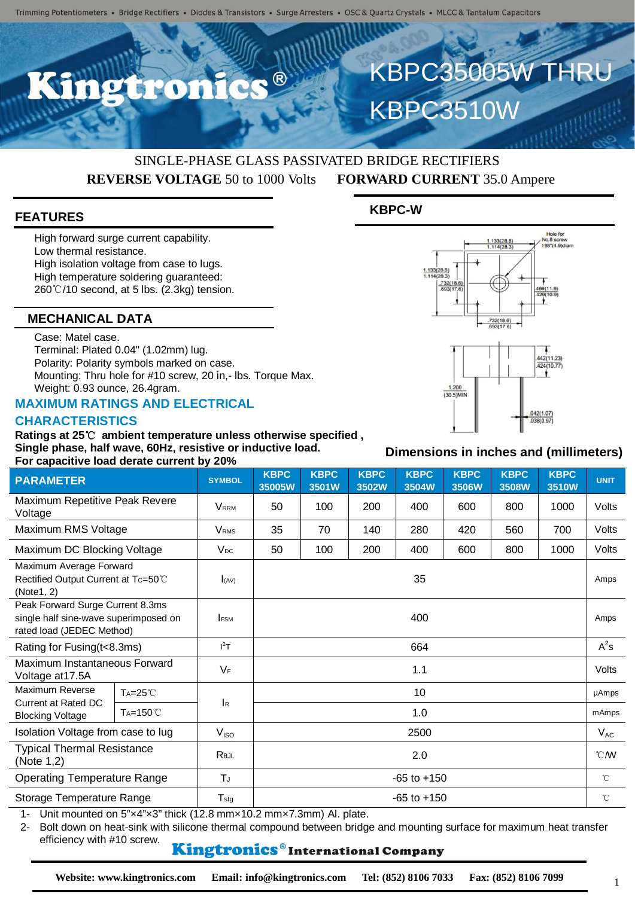

# **KBPC35005W** KBPC3510W

### SINGLE-PHASE GLASS PASSIVATED BRIDGE RECTIFIERS **REVERSE VOLTAGE** 50 to 1000 Volts **FORWARD CURRENT** 35.0 Ampere

#### **FEATURES**

High forward surge current capability. Low thermal resistance. High isolation voltage from case to lugs. High temperature soldering guaranteed: 260℃/10 second, at 5 lbs. (2.3kg) tension.

#### **MECHANICAL DATA**

Case: Matel case. Terminal: Plated 0.04" (1.02mm) lug. Polarity: Polarity symbols marked on case. Mounting: Thru hole for #10 screw, 20 in,- lbs. Torque Max. Weight: 0.93 ounce, 26.4gram.

#### **MAXIMUM RATINGS AND ELECTRICAL**

#### **CHARACTERISTICS**

**Ratings at 25**℃ **ambient temperature unless otherwise specified , Single phase, half wave, 60Hz, resistive or inductive load. For capacitive load derate current by 20%**

#### **KBPC-W**



#### **Dimensions in inches and (millimeters)**

| <b>PARAMETER</b>                                                                                       |                      | <b>SYMBOL</b>               | <b>KBPC</b><br>35005W | <b>KBPC</b><br>3501W | <b>KBPC</b><br>3502W | <b>KBPC</b><br>3504W | <b>KBPC</b><br>3506W | <b>KBPC</b><br>3508W | <b>KBPC</b><br><b>3510W</b> | <b>UNIT</b>      |
|--------------------------------------------------------------------------------------------------------|----------------------|-----------------------------|-----------------------|----------------------|----------------------|----------------------|----------------------|----------------------|-----------------------------|------------------|
| Maximum Repetitive Peak Revere<br>Voltage                                                              |                      | <b>VRRM</b>                 | 50                    | 100                  | 200                  | 400                  | 600                  | 800                  | 1000                        | Volts            |
| Maximum RMS Voltage                                                                                    |                      | <b>V</b> <sub>RMS</sub>     | 35                    | 70                   | 140                  | 280                  | 420                  | 560                  | 700                         | Volts            |
| Maximum DC Blocking Voltage                                                                            |                      | $V_{DC}$                    | 50                    | 100                  | 200                  | 400                  | 600                  | 800                  | 1000                        | Volts            |
| Maximum Average Forward<br>Rectified Output Current at Tc=50°C<br>(Note1, 2)                           |                      | (x)                         | 35                    |                      |                      |                      |                      |                      |                             | Amps             |
| Peak Forward Surge Current 8.3ms<br>single half sine-wave superimposed on<br>rated load (JEDEC Method) |                      | <b>IFSM</b>                 | 400                   |                      |                      |                      |                      |                      |                             | Amps             |
| Rating for Fusing (t<8.3ms)                                                                            |                      | $I^2T$                      | 664                   |                      |                      |                      |                      |                      |                             | $A^2s$           |
| Maximum Instantaneous Forward<br>Voltage at 17.5A                                                      |                      | $V_F$                       | 1.1                   |                      |                      |                      |                      |                      |                             | Volts            |
| Maximum Reverse<br><b>Current at Rated DC</b><br><b>Blocking Voltage</b>                               | $Ta=25^{\circ}C$     | <b>I</b> R                  | 10                    |                      |                      |                      |                      |                      |                             | µAmps            |
|                                                                                                        | T <sub>A</sub> =150℃ |                             | 1.0                   |                      |                      |                      |                      |                      |                             | mAmps            |
| Isolation Voltage from case to lug                                                                     |                      | V <sub>ISO</sub>            | 2500                  |                      |                      |                      |                      |                      |                             | $V_{AC}$         |
| <b>Typical Thermal Resistance</b><br>(Note $1,2$ )                                                     |                      | ReJL                        | 2.0                   |                      |                      |                      |                      |                      |                             | $\mathcal{C}$ MV |
| <b>Operating Temperature Range</b>                                                                     |                      | TJ                          | $-65$ to $+150$       |                      |                      |                      |                      |                      |                             | $^{\circ}$ C     |
| Storage Temperature Range                                                                              |                      | $\mathsf{T}_{\textsf{stg}}$ | $-65$ to $+150$       |                      |                      |                      |                      |                      |                             | $^{\circ}$ C     |

1- Unit mounted on 5"×4"×3" thick (12.8 mm×10.2 mm×7.3mm) Al. plate.

2- Bolt down on heat-sink with silicone thermal compound between bridge and mounting surface for maximum heat transfer efficiency with #10 screw.

#### **Kingtronics**®International Company

**Website: www.kingtronics.com Email: info@kingtronics.com Tel: (852) 8106 7033 Fax: (852) 8106 7099**